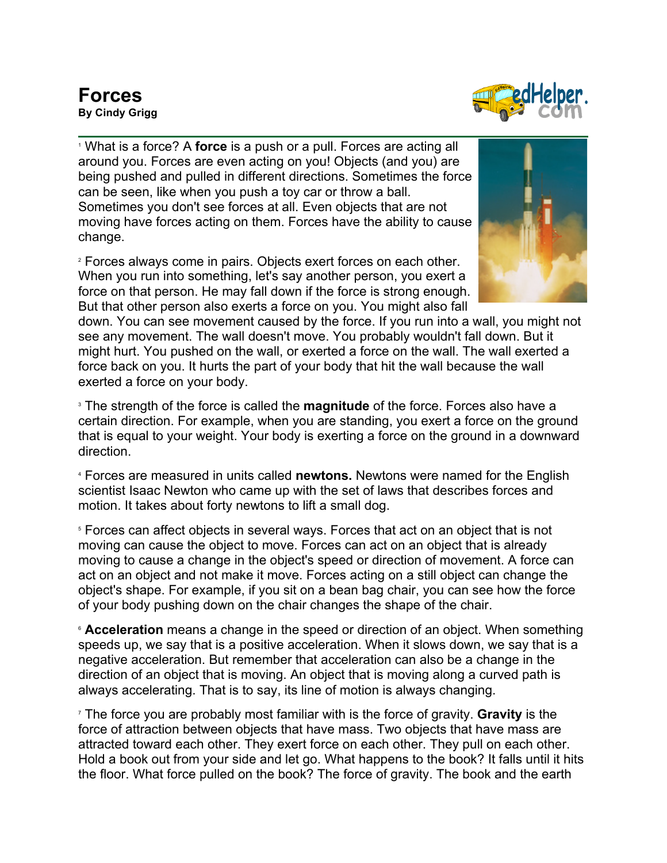

<sup>1</sup> What is a force? A **force** is a push or a pull. Forces are acting all around you. Forces are even acting on you! Objects (and you) are being pushed and pulled in different directions. Sometimes the force can be seen, like when you push a toy car or throw a ball. Sometimes you don't see forces at all. Even objects that are not moving have forces acting on them. Forces have the ability to cause change.

<sup>2</sup> Forces always come in pairs. Objects exert forces on each other. When you run into something, let's say another person, you exert a force on that person. He may fall down if the force is strong enough. But that other person also exerts a force on you. You might also fall



down. You can see movement caused by the force. If you run into a wall, you might not see any movement. The wall doesn't move. You probably wouldn't fall down. But it might hurt. You pushed on the wall, or exerted a force on the wall. The wall exerted a force back on you. It hurts the part of your body that hit the wall because the wall exerted a force on your body.

<sup>3</sup> The strength of the force is called the **magnitude** of the force. Forces also have a certain direction. For example, when you are standing, you exert a force on the ground that is equal to your weight. Your body is exerting a force on the ground in a downward direction.

<sup>4</sup> Forces are measured in units called **newtons.** Newtons were named for the English scientist Isaac Newton who came up with the set of laws that describes forces and motion. It takes about forty newtons to lift a small dog.

<sup>5</sup> Forces can affect objects in several ways. Forces that act on an object that is not moving can cause the object to move. Forces can act on an object that is already moving to cause a change in the object's speed or direction of movement. A force can act on an object and not make it move. Forces acting on a still object can change the object's shape. For example, if you sit on a bean bag chair, you can see how the force of your body pushing down on the chair changes the shape of the chair.

**Acceleration** means a change in the speed or direction of an object. When something speeds up, we say that is a positive acceleration. When it slows down, we say that is a negative acceleration. But remember that acceleration can also be a change in the direction of an object that is moving. An object that is moving along a curved path is always accelerating. That is to say, its line of motion is always changing.

<sup>7</sup> The force you are probably most familiar with is the force of gravity. **Gravity** is the force of attraction between objects that have mass. Two objects that have mass are attracted toward each other. They exert force on each other. They pull on each other. Hold a book out from your side and let go. What happens to the book? It falls until it hits the floor. What force pulled on the book? The force of gravity. The book and the earth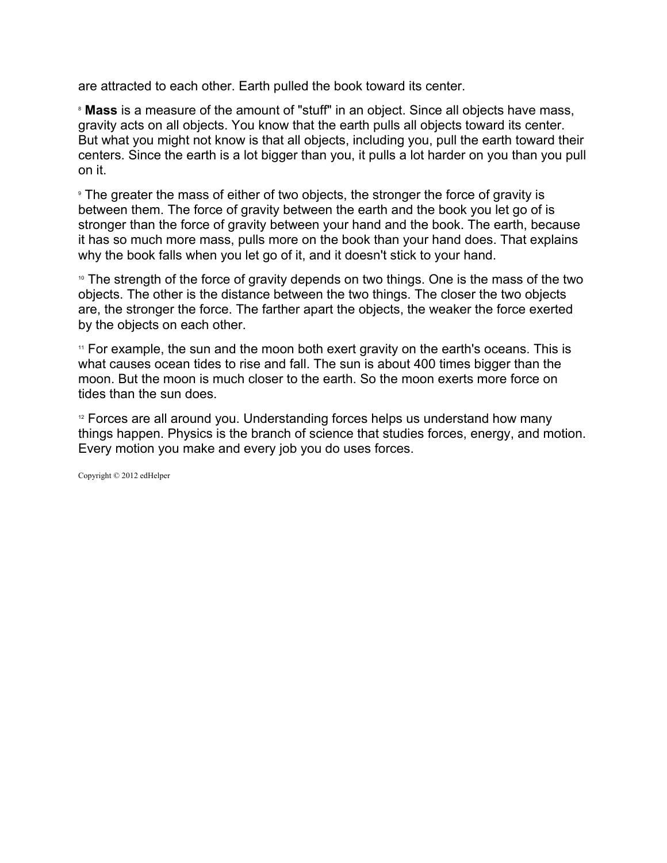are attracted to each other. Earth pulled the book toward its center.

<sup>8</sup> **Mass** is a measure of the amount of "stuff" in an object. Since all objects have mass, gravity acts on all objects. You know that the earth pulls all objects toward its center. But what you might not know is that all objects, including you, pull the earth toward their centers. Since the earth is a lot bigger than you, it pulls a lot harder on you than you pull on it.

<sup>9</sup> The greater the mass of either of two objects, the stronger the force of gravity is between them. The force of gravity between the earth and the book you let go of is stronger than the force of gravity between your hand and the book. The earth, because it has so much more mass, pulls more on the book than your hand does. That explains why the book falls when you let go of it, and it doesn't stick to your hand.

<sup>10</sup> The strength of the force of gravity depends on two things. One is the mass of the two objects. The other is the distance between the two things. The closer the two objects are, the stronger the force. The farther apart the objects, the weaker the force exerted by the objects on each other.

<sup>11</sup> For example, the sun and the moon both exert gravity on the earth's oceans. This is what causes ocean tides to rise and fall. The sun is about 400 times bigger than the moon. But the moon is much closer to the earth. So the moon exerts more force on tides than the sun does.

 $12$  Forces are all around you. Understanding forces helps us understand how many things happen. Physics is the branch of science that studies forces, energy, and motion. Every motion you make and every job you do uses forces.

Copyright © 2012 edHelper